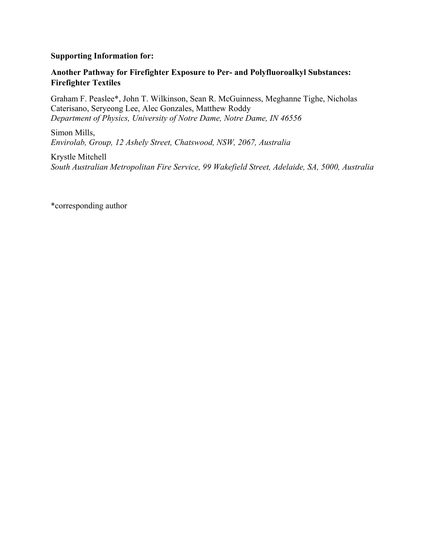#### **Supporting Information for:**

### **Another Pathway for Firefighter Exposure to Per- and Polyfluoroalkyl Substances: Firefighter Textiles**

Graham F. Peaslee\*, John T. Wilkinson, Sean R. McGuinness, Meghanne Tighe, Nicholas Caterisano, Seryeong Lee, Alec Gonzales, Matthew Roddy *Department of Physics, University of Notre Dame, Notre Dame, IN 46556* 

Simon Mills, *Envirolab, Group, 12 Ashely Street, Chatswood, NSW, 2067, Australia* 

Krystle Mitchell *South Australian Metropolitan Fire Service, 99 Wakefield Street, Adelaide, SA, 5000, Australia*

\*corresponding author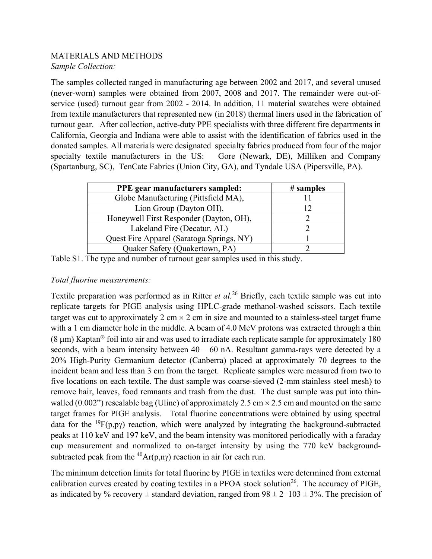## MATERIALS AND METHODS *Sample Collection:*

The samples collected ranged in manufacturing age between 2002 and 2017, and several unused (never-worn) samples were obtained from 2007, 2008 and 2017. The remainder were out-ofservice (used) turnout gear from 2002 - 2014. In addition, 11 material swatches were obtained from textile manufacturers that represented new (in 2018) thermal liners used in the fabrication of turnout gear. After collection, active-duty PPE specialists with three different fire departments in California, Georgia and Indiana were able to assist with the identification of fabrics used in the donated samples. All materials were designated specialty fabrics produced from four of the major specialty textile manufacturers in the US: Gore (Newark, DE), Milliken and Company (Spartanburg, SC), TenCate Fabrics (Union City, GA), and Tyndale USA (Pipersville, PA).

| <b>PPE</b> gear manufacturers sampled:    | $\#$ samples |
|-------------------------------------------|--------------|
| Globe Manufacturing (Pittsfield MA),      |              |
| Lion Group (Dayton OH),                   | 12           |
| Honeywell First Responder (Dayton, OH),   |              |
| Lakeland Fire (Decatur, AL)               |              |
| Quest Fire Apparel (Saratoga Springs, NY) |              |
| Quaker Safety (Quakertown, PA)            |              |

Table S1. The type and number of turnout gear samples used in this study.

# *Total fluorine measurements:*

Textile preparation was performed as in Ritter *et al.*<sup>26</sup> Briefly, each textile sample was cut into replicate targets for PIGE analysis using HPLC-grade methanol-washed scissors. Each textile target was cut to approximately 2 cm  $\times$  2 cm in size and mounted to a stainless-steel target frame with a 1 cm diameter hole in the middle. A beam of 4.0 MeV protons was extracted through a thin  $(8 \mu m)$  Kaptan<sup>®</sup> foil into air and was used to irradiate each replicate sample for approximately 180 seconds, with a beam intensity between  $40 - 60$  nA. Resultant gamma-rays were detected by a 20% High-Purity Germanium detector (Canberra) placed at approximately 70 degrees to the incident beam and less than 3 cm from the target. Replicate samples were measured from two to five locations on each textile. The dust sample was coarse-sieved (2-mm stainless steel mesh) to remove hair, leaves, food remnants and trash from the dust. The dust sample was put into thinwalled (0.002") resealable bag (Uline) of approximately 2.5 cm  $\times$  2.5 cm and mounted on the same target frames for PIGE analysis. Total fluorine concentrations were obtained by using spectral data for the <sup>19</sup> $F(p, p\gamma)$  reaction, which were analyzed by integrating the background-subtracted peaks at 110 keV and 197 keV, and the beam intensity was monitored periodically with a faraday cup measurement and normalized to on-target intensity by using the 770 keV backgroundsubtracted peak from the <sup>40</sup>Ar(p,ny) reaction in air for each run.

The minimum detection limits for total fluorine by PIGE in textiles were determined from external calibration curves created by coating textiles in a PFOA stock solution<sup>26</sup>. The accuracy of PIGE, as indicated by % recovery  $\pm$  standard deviation, ranged from  $98 \pm 2$ −103  $\pm$  3%. The precision of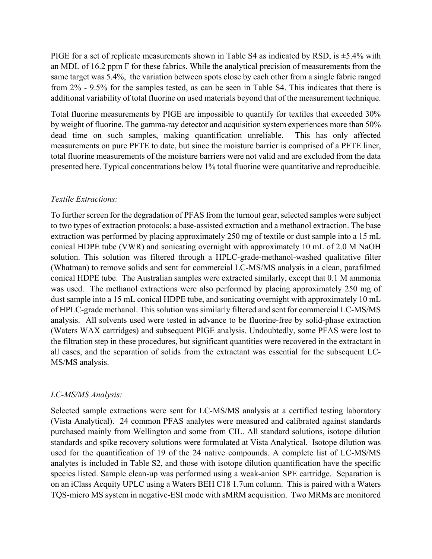PIGE for a set of replicate measurements shown in Table S4 as indicated by RSD, is  $\pm$ 5.4% with an MDL of 16.2 ppm F for these fabrics. While the analytical precision of measurements from the same target was 5.4%, the variation between spots close by each other from a single fabric ranged from 2% - 9.5% for the samples tested, as can be seen in Table S4. This indicates that there is additional variability of total fluorine on used materials beyond that of the measurement technique.

Total fluorine measurements by PIGE are impossible to quantify for textiles that exceeded 30% by weight of fluorine. The gamma-ray detector and acquisition system experiences more than 50% dead time on such samples, making quantification unreliable. This has only affected measurements on pure PFTE to date, but since the moisture barrier is comprised of a PFTE liner, total fluorine measurements of the moisture barriers were not valid and are excluded from the data presented here. Typical concentrations below 1% total fluorine were quantitative and reproducible.

## *Textile Extractions:*

To further screen for the degradation of PFAS from the turnout gear, selected samples were subject to two types of extraction protocols: a base-assisted extraction and a methanol extraction. The base extraction was performed by placing approximately 250 mg of textile or dust sample into a 15 mL conical HDPE tube (VWR) and sonicating overnight with approximately 10 mL of 2.0 M NaOH solution. This solution was filtered through a HPLC-grade-methanol-washed qualitative filter (Whatman) to remove solids and sent for commercial LC-MS/MS analysis in a clean, parafilmed conical HDPE tube. The Australian samples were extracted similarly, except that 0.1 M ammonia was used. The methanol extractions were also performed by placing approximately 250 mg of dust sample into a 15 mL conical HDPE tube, and sonicating overnight with approximately 10 mL of HPLC-grade methanol. This solution was similarly filtered and sent for commercial LC-MS/MS analysis. All solvents used were tested in advance to be fluorine-free by solid-phase extraction (Waters WAX cartridges) and subsequent PIGE analysis. Undoubtedly, some PFAS were lost to the filtration step in these procedures, but significant quantities were recovered in the extractant in all cases, and the separation of solids from the extractant was essential for the subsequent LC-MS/MS analysis.

## *LC-MS/MS Analysis:*

Selected sample extractions were sent for LC-MS/MS analysis at a certified testing laboratory (Vista Analytical). 24 common PFAS analytes were measured and calibrated against standards purchased mainly from Wellington and some from CIL. All standard solutions, isotope dilution standards and spike recovery solutions were formulated at Vista Analytical. Isotope dilution was used for the quantification of 19 of the 24 native compounds. A complete list of LC-MS/MS analytes is included in Table S2, and those with isotope dilution quantification have the specific species listed. Sample clean-up was performed using a weak-anion SPE cartridge. Separation is on an iClass Acquity UPLC using a Waters BEH C18 1.7um column. This is paired with a Waters TQS-micro MS system in negative-ESI mode with sMRM acquisition. Two MRMs are monitored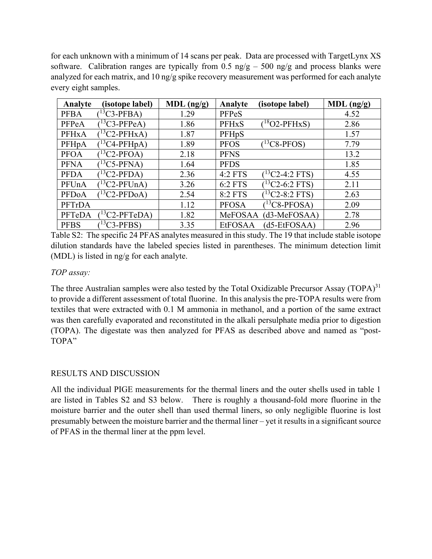for each unknown with a minimum of 14 scans per peak. Data are processed with TargetLynx XS software. Calibration ranges are typically from 0.5 ng/g – 500 ng/g and process blanks were analyzed for each matrix, and 10 ng/g spike recovery measurement was performed for each analyte every eight samples.

| Analyte            | (isotope label)     | $MDL$ (ng/g) | Analyte        | (isotope label)       | $MDL$ (ng/g) |
|--------------------|---------------------|--------------|----------------|-----------------------|--------------|
| <b>PFBA</b>        | $13C3-PFBA$         | 1.29         | PFPeS          |                       | 4.52         |
| PFPeA              | ${}^{13}C3$ -PFPeA) | 1.86         | <b>PFHxS</b>   | $18$ O2-PFHxS)        | 2.86         |
| <b>PFHxA</b>       | $13C2-PFHxA$        | 1.87         | PFHpS          |                       | 1.57         |
| PFH <sub>p</sub> A | $(^{13}C4-PFHpA)$   | 1.89         | <b>PFOS</b>    | $13C8-PFOS$           | 7.79         |
| <b>PFOA</b>        | $13C2-PFOA$         | 2.18         | <b>PFNS</b>    |                       | 13.2         |
| <b>PFNA</b>        | $(13C5-PFNA)$       | 1.64         | <b>PFDS</b>    |                       | 1.85         |
| <b>PFDA</b>        | $13C2-PFDA$         | 2.36         | 4:2 FTS        | $(^{13}C2 - 4:2$ FTS) | 4.55         |
| PFUnA              | $(^{13}C2-PFUnA)$   | 3.26         | 6:2 FTS        | $(13C2-6:2$ FTS)      | 2.11         |
| PFDoA              | $(^{13}C2-PFDoA)$   | 2.54         | 8:2 FTS        | $13C2 - 8:2$ FTS)     | 2.63         |
| PFTrDA             |                     | 1.12         | <b>PFOSA</b>   | $13C8-PFOSA$          | 2.09         |
| PFTeDA             | $13C2-PFTeDA$       | 1.82         | MeFOSAA        | $(d3-MeFOSAA)$        | 2.78         |
| <b>PFBS</b>        | $(^{13}C3-PFBS)$    | 3.35         | <b>EtFOSAA</b> | $(d5-EtFOSAA)$        | 2.96         |

Table S2: The specific 24 PFAS analytes measured in this study. The 19 that include stable isotope dilution standards have the labeled species listed in parentheses. The minimum detection limit (MDL) is listed in ng/g for each analyte.

## *TOP assay:*

The three Australian samples were also tested by the Total Oxidizable Precursor Assay (TOPA) $31$ to provide a different assessment of total fluorine. In this analysis the pre-TOPA results were from textiles that were extracted with 0.1 M ammonia in methanol, and a portion of the same extract was then carefully evaporated and reconstituted in the alkali persulphate media prior to digestion (TOPA). The digestate was then analyzed for PFAS as described above and named as "post-TOPA"

#### RESULTS AND DISCUSSION

All the individual PIGE measurements for the thermal liners and the outer shells used in table 1 are listed in Tables S2 and S3 below. There is roughly a thousand-fold more fluorine in the moisture barrier and the outer shell than used thermal liners, so only negligible fluorine is lost presumably between the moisture barrier and the thermal liner – yet it results in a significant source of PFAS in the thermal liner at the ppm level.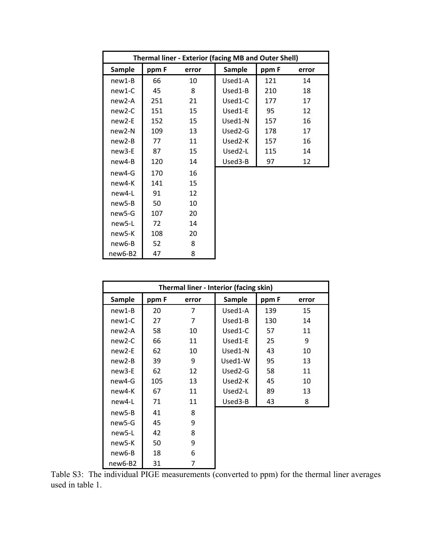|                     | <b>Thermal liner - Exterior (facing MB and Outer Shell)</b> |       |               |       |       |  |  |
|---------------------|-------------------------------------------------------------|-------|---------------|-------|-------|--|--|
| <b>Sample</b>       | ppm F                                                       | error | <b>Sample</b> | ppm F | error |  |  |
| $new1-B$            | 66                                                          | 10    | Used1-A       | 121   | 14    |  |  |
| new1-C              | 45                                                          | 8     | Used1-B       | 210   | 18    |  |  |
| $new2-A$            | 251                                                         | 21    | Used1-C       | 177   | 17    |  |  |
| $new2-C$            | 151                                                         | 15    | Used1-E       | 95    | 12    |  |  |
| $new2-E$            | 152                                                         | 15    | Used1-N       | 157   | 16    |  |  |
| new <sub>2</sub> -N | 109                                                         | 13    | Used2-G       | 178   | 17    |  |  |
| $new2-B$            | 77                                                          | 11    | Used2-K       | 157   | 16    |  |  |
| new3-E              | 87                                                          | 15    | Used2-L       | 115   | 14    |  |  |
| new4-B              | 120                                                         | 14    | Used3-B       | 97    | 12    |  |  |
| new4-G              | 170                                                         | 16    |               |       |       |  |  |
| new4-K              | 141                                                         | 15    |               |       |       |  |  |
| new4-L              | 91                                                          | 12    |               |       |       |  |  |
| new5-B              | 50                                                          | 10    |               |       |       |  |  |
| new5-G              | 107                                                         | 20    |               |       |       |  |  |
| new5-L              | 72                                                          | 14    |               |       |       |  |  |
| new5-K              | 108                                                         | 20    |               |       |       |  |  |
| new6-B              | 52                                                          | 8     |               |       |       |  |  |
| new6-B2             | 47                                                          | 8     |               |       |       |  |  |

|                     | Thermal liner - Interior (facing skin) |       |               |       |       |  |  |  |
|---------------------|----------------------------------------|-------|---------------|-------|-------|--|--|--|
| <b>Sample</b>       | ppm F                                  | error | <b>Sample</b> | ppm F | error |  |  |  |
| $new1-B$            | 20                                     | 7     | Used1-A       | 139   | 15    |  |  |  |
| $new1-C$            | 27                                     | 7     | Used1-B       | 130   | 14    |  |  |  |
| $new2-A$            | 58                                     | 10    | Used1-C       | 57    | 11    |  |  |  |
| $new2-C$            | 66                                     | 11    | Used1-E       | 25    | 9     |  |  |  |
| new <sub>2</sub> -E | 62                                     | 10    | Used1-N       | 43    | 10    |  |  |  |
| $new2-B$            | 39                                     | 9     | Used1-W       | 95    | 13    |  |  |  |
| new <sub>3</sub> -E | 62                                     | 12    | Used2-G       | 58    | 11    |  |  |  |
| new4-G              | 105                                    | 13    | Used2-K       | 45    | 10    |  |  |  |
| new4-K              | 67                                     | 11    | Used2-L       | 89    | 13    |  |  |  |
| new4-L              | 71                                     | 11    | Used3-B       | 43    | 8     |  |  |  |
| new5-B              | 41                                     | 8     |               |       |       |  |  |  |
| new5-G              | 45                                     | 9     |               |       |       |  |  |  |
| new5-L              | 42                                     | 8     |               |       |       |  |  |  |
| new <sub>5</sub> -K | 50                                     | 9     |               |       |       |  |  |  |
| new6-B              | 18                                     | 6     |               |       |       |  |  |  |
| new6-B2             | 31                                     | 7     |               |       |       |  |  |  |

Table S3: The individual PIGE measurements (converted to ppm) for the thermal liner averages used in table 1.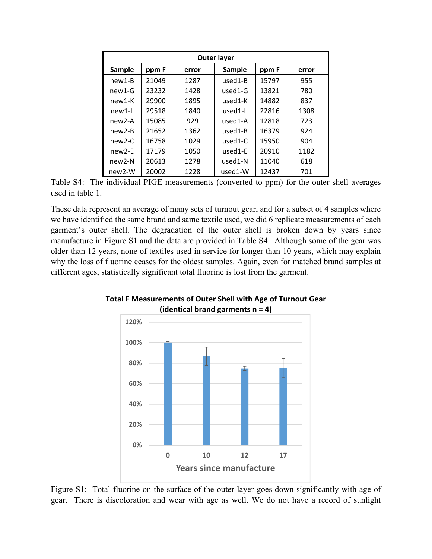| Outer layer         |       |       |               |       |       |  |  |
|---------------------|-------|-------|---------------|-------|-------|--|--|
| <b>Sample</b>       | ppm F | error | <b>Sample</b> | ppm F | error |  |  |
| new1-B              | 21049 | 1287  | used1-B       | 15797 | 955   |  |  |
| $new1-G$            | 23232 | 1428  | $used1-G$     | 13821 | 780   |  |  |
| new1-K              | 29900 | 1895  | used1-K       | 14882 | 837   |  |  |
| new1-L              | 29518 | 1840  | used1-L       | 22816 | 1308  |  |  |
| $new2-A$            | 15085 | 929   | used1-A       | 12818 | 723   |  |  |
| $new2-B$            | 21652 | 1362  | used1-B       | 16379 | 924   |  |  |
| $new2-C$            | 16758 | 1029  | $used1-C$     | 15950 | 904   |  |  |
| new <sub>2</sub> -F | 17179 | 1050  | $used1-E$     | 20910 | 1182  |  |  |
| new2-N              | 20613 | 1278  | $used1-N$     | 11040 | 618   |  |  |
| new <sub>2</sub> -W | 20002 | 1228  | used1-W       | 12437 | 701   |  |  |

Table S4: The individual PIGE measurements (converted to ppm) for the outer shell averages used in table 1.

These data represent an average of many sets of turnout gear, and for a subset of 4 samples where we have identified the same brand and same textile used, we did 6 replicate measurements of each garment's outer shell. The degradation of the outer shell is broken down by years since manufacture in Figure S1 and the data are provided in Table S4. Although some of the gear was older than 12 years, none of textiles used in service for longer than 10 years, which may explain why the loss of fluorine ceases for the oldest samples. Again, even for matched brand samples at different ages, statistically significant total fluorine is lost from the garment.



**Total F Measurements of Outer Shell with Age of Turnout Gear (identical brand garments n = 4)**

Figure S1: Total fluorine on the surface of the outer layer goes down significantly with age of gear. There is discoloration and wear with age as well. We do not have a record of sunlight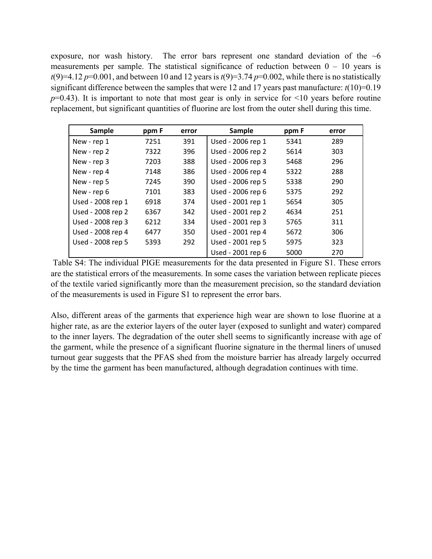exposure, nor wash history. The error bars represent one standard deviation of the  $\sim$ 6 measurements per sample. The statistical significance of reduction between  $0 - 10$  years is  $t(9)=4.12 p=0.001$ , and between 10 and 12 years is  $t(9)=3.74 p=0.002$ , while there is no statistically significant difference between the samples that were 12 and 17 years past manufacture:  $t(10)=0.19$  $p=0.43$ ). It is important to note that most gear is only in service for  $\leq 10$  years before routine replacement, but significant quantities of fluorine are lost from the outer shell during this time.

| Sample            | ppm F | error | <b>Sample</b>     | ppm F | error |
|-------------------|-------|-------|-------------------|-------|-------|
| New - rep 1       | 7251  | 391   | Used - 2006 rep 1 | 5341  | 289   |
| New - rep 2       | 7322  | 396   | Used - 2006 rep 2 | 5614  | 303   |
| New - rep 3       | 7203  | 388   | Used - 2006 rep 3 | 5468  | 296   |
| New - rep 4       | 7148  | 386   | Used - 2006 rep 4 | 5322  | 288   |
| New - rep 5       | 7245  | 390   | Used - 2006 rep 5 | 5338  | 290   |
| New - rep 6       | 7101  | 383   | Used - 2006 rep 6 | 5375  | 292   |
| Used - 2008 rep 1 | 6918  | 374   | Used - 2001 rep 1 | 5654  | 305   |
| Used - 2008 rep 2 | 6367  | 342   | Used - 2001 rep 2 | 4634  | 251   |
| Used - 2008 rep 3 | 6212  | 334   | Used - 2001 rep 3 | 5765  | 311   |
| Used - 2008 rep 4 | 6477  | 350   | Used - 2001 rep 4 | 5672  | 306   |
| Used - 2008 rep 5 | 5393  | 292   | Used - 2001 rep 5 | 5975  | 323   |
|                   |       |       | Used - 2001 rep 6 | 5000  | 270   |

 Table S4: The individual PIGE measurements for the data presented in Figure S1. These errors are the statistical errors of the measurements. In some cases the variation between replicate pieces of the textile varied significantly more than the measurement precision, so the standard deviation of the measurements is used in Figure S1 to represent the error bars.

Also, different areas of the garments that experience high wear are shown to lose fluorine at a higher rate, as are the exterior layers of the outer layer (exposed to sunlight and water) compared to the inner layers. The degradation of the outer shell seems to significantly increase with age of the garment, while the presence of a significant fluorine signature in the thermal liners of unused turnout gear suggests that the PFAS shed from the moisture barrier has already largely occurred by the time the garment has been manufactured, although degradation continues with time.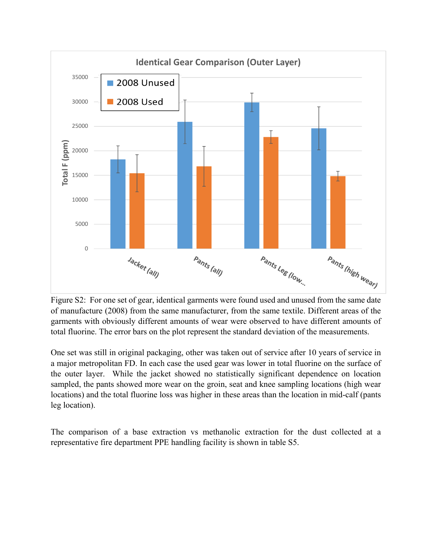

Figure S2: For one set of gear, identical garments were found used and unused from the same date of manufacture (2008) from the same manufacturer, from the same textile. Different areas of the garments with obviously different amounts of wear were observed to have different amounts of total fluorine. The error bars on the plot represent the standard deviation of the measurements.

One set was still in original packaging, other was taken out of service after 10 years of service in a major metropolitan FD. In each case the used gear was lower in total fluorine on the surface of the outer layer. While the jacket showed no statistically significant dependence on location sampled, the pants showed more wear on the groin, seat and knee sampling locations (high wear locations) and the total fluorine loss was higher in these areas than the location in mid-calf (pants leg location).

The comparison of a base extraction vs methanolic extraction for the dust collected at a representative fire department PPE handling facility is shown in table S5.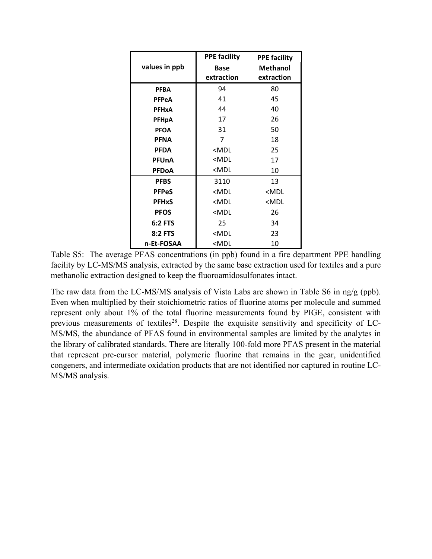|                | <b>PPE facility</b>                             | <b>PPE facility</b> |
|----------------|-------------------------------------------------|---------------------|
| values in ppb  | <b>Base</b>                                     | <b>Methanol</b>     |
|                | extraction                                      | extraction          |
| <b>PFBA</b>    | 94                                              | 80                  |
| <b>PFPeA</b>   | 41                                              | 45                  |
| <b>PFHxA</b>   | 44                                              | 40                  |
| <b>PFHpA</b>   | 17                                              | 26                  |
| <b>PFOA</b>    | 31                                              | 50                  |
| <b>PFNA</b>    | 7                                               | 18                  |
| <b>PFDA</b>    | <mdl< th=""><th>25</th></mdl<>                  | 25                  |
| <b>PFUnA</b>   | <mdl< th=""><th>17</th></mdl<>                  | 17                  |
| <b>PFDoA</b>   | $<$ MDL                                         | 10                  |
| <b>PFBS</b>    | 3110                                            | 13                  |
| <b>PFPeS</b>   | <mdl< th=""><th><mdl< th=""></mdl<></th></mdl<> | <mdl< th=""></mdl<> |
| <b>PFHxS</b>   | <mdl< th=""><th><mdl< th=""></mdl<></th></mdl<> | <mdl< th=""></mdl<> |
| <b>PFOS</b>    | <mdl< th=""><th>26</th></mdl<>                  | 26                  |
| <b>6:2 FTS</b> | 25                                              | 34                  |
| <b>8:2 FTS</b> | <mdl< th=""><th>23</th></mdl<>                  | 23                  |
| n-Et-FOSAA     | <mdl< th=""><th>10</th></mdl<>                  | 10                  |

Table S5: The average PFAS concentrations (in ppb) found in a fire department PPE handling facility by LC-MS/MS analysis, extracted by the same base extraction used for textiles and a pure methanolic extraction designed to keep the fluoroamidosulfonates intact.

The raw data from the LC-MS/MS analysis of Vista Labs are shown in Table S6 in ng/g (ppb). Even when multiplied by their stoichiometric ratios of fluorine atoms per molecule and summed represent only about 1% of the total fluorine measurements found by PIGE, consistent with previous measurements of textiles<sup>28</sup>. Despite the exquisite sensitivity and specificity of LC-MS/MS, the abundance of PFAS found in environmental samples are limited by the analytes in the library of calibrated standards. There are literally 100-fold more PFAS present in the material that represent pre-cursor material, polymeric fluorine that remains in the gear, unidentified congeners, and intermediate oxidation products that are not identified nor captured in routine LC-MS/MS analysis.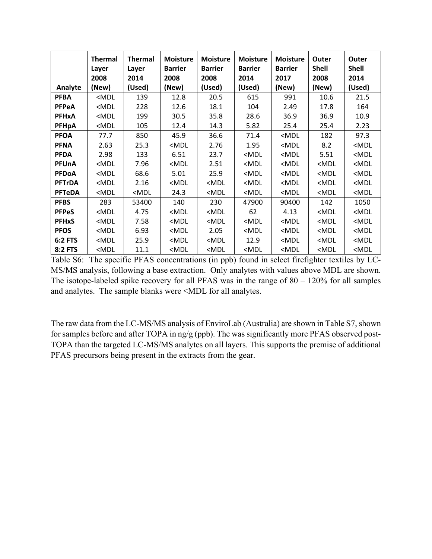|                | <b>Thermal</b><br>Layer<br>2008                                                                                                                                                                            | <b>Thermal</b><br>Layer<br>2014                                                                                                                                                | <b>Moisture</b><br><b>Barrier</b><br>2008                                                                                                                       | <b>Moisture</b><br><b>Barrier</b><br>2008                                                                                             | <b>Moisture</b><br><b>Barrier</b><br>2014                                                                | <b>Moisture</b><br><b>Barrier</b><br>2017                                    | Outer<br><b>Shell</b><br>2008                    | Outer<br><b>Shell</b><br>2014 |
|----------------|------------------------------------------------------------------------------------------------------------------------------------------------------------------------------------------------------------|--------------------------------------------------------------------------------------------------------------------------------------------------------------------------------|-----------------------------------------------------------------------------------------------------------------------------------------------------------------|---------------------------------------------------------------------------------------------------------------------------------------|----------------------------------------------------------------------------------------------------------|------------------------------------------------------------------------------|--------------------------------------------------|-------------------------------|
| Analyte        | (New)                                                                                                                                                                                                      | (Used)                                                                                                                                                                         | (New)                                                                                                                                                           | (Used)                                                                                                                                | (Used)                                                                                                   | (New)                                                                        | (New)                                            | (Used)                        |
| <b>PFBA</b>    | <mdl< th=""><th>139</th><th>12.8</th><th>20.5</th><th>615</th><th>991</th><th>10.6</th><th>21.5</th></mdl<>                                                                                                | 139                                                                                                                                                                            | 12.8                                                                                                                                                            | 20.5                                                                                                                                  | 615                                                                                                      | 991                                                                          | 10.6                                             | 21.5                          |
| <b>PFPeA</b>   | <mdl< th=""><th>228</th><th>12.6</th><th>18.1</th><th>104</th><th>2.49</th><th>17.8</th><th>164</th></mdl<>                                                                                                | 228                                                                                                                                                                            | 12.6                                                                                                                                                            | 18.1                                                                                                                                  | 104                                                                                                      | 2.49                                                                         | 17.8                                             | 164                           |
| <b>PFHxA</b>   | <mdl< th=""><th>199</th><th>30.5</th><th>35.8</th><th>28.6</th><th>36.9</th><th>36.9</th><th>10.9</th></mdl<>                                                                                              | 199                                                                                                                                                                            | 30.5                                                                                                                                                            | 35.8                                                                                                                                  | 28.6                                                                                                     | 36.9                                                                         | 36.9                                             | 10.9                          |
| PFHpA          | $<$ MDL                                                                                                                                                                                                    | 105                                                                                                                                                                            | 12.4                                                                                                                                                            | 14.3                                                                                                                                  | 5.82                                                                                                     | 25.4                                                                         | 25.4                                             | 2.23                          |
| <b>PFOA</b>    | 77.7                                                                                                                                                                                                       | 850                                                                                                                                                                            | 45.9                                                                                                                                                            | 36.6                                                                                                                                  | 71.4                                                                                                     | <mdl< th=""><th>182</th><th>97.3</th></mdl<>                                 | 182                                              | 97.3                          |
| <b>PFNA</b>    | 2.63                                                                                                                                                                                                       | 25.3                                                                                                                                                                           | <mdl< th=""><th>2.76</th><th>1.95</th><th><mdl< th=""><th>8.2</th><th><mdl< th=""></mdl<></th></mdl<></th></mdl<>                                               | 2.76                                                                                                                                  | 1.95                                                                                                     | <mdl< th=""><th>8.2</th><th><mdl< th=""></mdl<></th></mdl<>                  | 8.2                                              | <mdl< th=""></mdl<>           |
| <b>PFDA</b>    | 2.98                                                                                                                                                                                                       | 133                                                                                                                                                                            | 6.51                                                                                                                                                            | 23.7                                                                                                                                  | <mdl< th=""><th><mdl< th=""><th>5.51</th><th><mdl< th=""></mdl<></th></mdl<></th></mdl<>                 | <mdl< th=""><th>5.51</th><th><mdl< th=""></mdl<></th></mdl<>                 | 5.51                                             | <mdl< th=""></mdl<>           |
| <b>PFUnA</b>   | <mdl< th=""><th>7.96</th><th><mdl< th=""><th>2.51</th><th><mdl< th=""><th><mdl< th=""><th><mdl< th=""><th><mdl< th=""></mdl<></th></mdl<></th></mdl<></th></mdl<></th></mdl<></th></mdl<>                  | 7.96                                                                                                                                                                           | <mdl< th=""><th>2.51</th><th><mdl< th=""><th><mdl< th=""><th><mdl< th=""><th><mdl< th=""></mdl<></th></mdl<></th></mdl<></th></mdl<></th></mdl<>                | 2.51                                                                                                                                  | <mdl< th=""><th><mdl< th=""><th><mdl< th=""><th><mdl< th=""></mdl<></th></mdl<></th></mdl<></th></mdl<>  | <mdl< th=""><th><mdl< th=""><th><mdl< th=""></mdl<></th></mdl<></th></mdl<>  | <mdl< th=""><th><mdl< th=""></mdl<></th></mdl<>  | <mdl< th=""></mdl<>           |
| <b>PFDoA</b>   | <mdl< th=""><th>68.6</th><th>5.01</th><th>25.9</th><th><mdl< th=""><th><mdl< th=""><th><mdl< th=""><th><mdl< th=""></mdl<></th></mdl<></th></mdl<></th></mdl<></th></mdl<>                                 | 68.6                                                                                                                                                                           | 5.01                                                                                                                                                            | 25.9                                                                                                                                  | <mdl< th=""><th><mdl< th=""><th><mdl< th=""><th><mdl< th=""></mdl<></th></mdl<></th></mdl<></th></mdl<>  | <mdl< th=""><th><mdl< th=""><th><mdl< th=""></mdl<></th></mdl<></th></mdl<>  | <mdl< th=""><th><mdl< th=""></mdl<></th></mdl<>  | <mdl< th=""></mdl<>           |
| <b>PFTrDA</b>  | <mdl< th=""><th>2.16</th><th><mdl< th=""><th><mdl< th=""><th><mdl< th=""><th><mdl< th=""><th><mdl< th=""><th><mdl< th=""></mdl<></th></mdl<></th></mdl<></th></mdl<></th></mdl<></th></mdl<></th></mdl<>   | 2.16                                                                                                                                                                           | <mdl< th=""><th><mdl< th=""><th><mdl< th=""><th><mdl< th=""><th><mdl< th=""><th><mdl< th=""></mdl<></th></mdl<></th></mdl<></th></mdl<></th></mdl<></th></mdl<> | <mdl< th=""><th><mdl< th=""><th><mdl< th=""><th><mdl< th=""><th><mdl< th=""></mdl<></th></mdl<></th></mdl<></th></mdl<></th></mdl<>   | <mdl< th=""><th><mdl< th=""><th><mdl< th=""><th><mdl< th=""></mdl<></th></mdl<></th></mdl<></th></mdl<>  | <mdl< th=""><th><mdl< th=""><th><mdl< th=""></mdl<></th></mdl<></th></mdl<>  | <mdl< th=""><th><mdl< th=""></mdl<></th></mdl<>  | <mdl< th=""></mdl<>           |
| <b>PFTeDA</b>  | <mdl< th=""><th><mdl< th=""><th>24.3</th><th><mdl< th=""><th><math>&lt;</math>MDL</th><th><mdl< th=""><th><mdl< th=""><th><math>&lt;</math>MDL</th></mdl<></th></mdl<></th></mdl<></th></mdl<></th></mdl<> | <mdl< th=""><th>24.3</th><th><mdl< th=""><th><math>&lt;</math>MDL</th><th><mdl< th=""><th><mdl< th=""><th><math>&lt;</math>MDL</th></mdl<></th></mdl<></th></mdl<></th></mdl<> | 24.3                                                                                                                                                            | <mdl< th=""><th><math>&lt;</math>MDL</th><th><mdl< th=""><th><mdl< th=""><th><math>&lt;</math>MDL</th></mdl<></th></mdl<></th></mdl<> | $<$ MDL                                                                                                  | <mdl< th=""><th><mdl< th=""><th><math>&lt;</math>MDL</th></mdl<></th></mdl<> | <mdl< th=""><th><math>&lt;</math>MDL</th></mdl<> | $<$ MDL                       |
| <b>PFBS</b>    | 283                                                                                                                                                                                                        | 53400                                                                                                                                                                          | 140                                                                                                                                                             | 230                                                                                                                                   | 47900                                                                                                    | 90400                                                                        | 142                                              | 1050                          |
| <b>PFPeS</b>   | <mdl< th=""><th>4.75</th><th><mdl< th=""><th><mdl< th=""><th>62</th><th>4.13</th><th><mdl< th=""><th><mdl< th=""></mdl<></th></mdl<></th></mdl<></th></mdl<></th></mdl<>                                   | 4.75                                                                                                                                                                           | <mdl< th=""><th><mdl< th=""><th>62</th><th>4.13</th><th><mdl< th=""><th><mdl< th=""></mdl<></th></mdl<></th></mdl<></th></mdl<>                                 | <mdl< th=""><th>62</th><th>4.13</th><th><mdl< th=""><th><mdl< th=""></mdl<></th></mdl<></th></mdl<>                                   | 62                                                                                                       | 4.13                                                                         | <mdl< th=""><th><mdl< th=""></mdl<></th></mdl<>  | <mdl< th=""></mdl<>           |
| <b>PFHxS</b>   | <mdl< th=""><th>7.58</th><th><mdl< th=""><th><mdl< th=""><th><mdl< th=""><th><mdl< th=""><th><mdl< th=""><th><mdl< th=""></mdl<></th></mdl<></th></mdl<></th></mdl<></th></mdl<></th></mdl<></th></mdl<>   | 7.58                                                                                                                                                                           | <mdl< th=""><th><mdl< th=""><th><mdl< th=""><th><mdl< th=""><th><mdl< th=""><th><mdl< th=""></mdl<></th></mdl<></th></mdl<></th></mdl<></th></mdl<></th></mdl<> | <mdl< th=""><th><mdl< th=""><th><mdl< th=""><th><mdl< th=""><th><mdl< th=""></mdl<></th></mdl<></th></mdl<></th></mdl<></th></mdl<>   | <mdl< th=""><th><mdl< th=""><th><mdl< th=""><th><mdl< th=""></mdl<></th></mdl<></th></mdl<></th></mdl<>  | <mdl< th=""><th><mdl< th=""><th><mdl< th=""></mdl<></th></mdl<></th></mdl<>  | <mdl< th=""><th><mdl< th=""></mdl<></th></mdl<>  | <mdl< th=""></mdl<>           |
| <b>PFOS</b>    | $<$ MDL                                                                                                                                                                                                    | 6.93                                                                                                                                                                           | <mdl< th=""><th>2.05</th><th><mdl< th=""><th><mdl< th=""><th><mdl< th=""><th><math>&lt;</math>MDL</th></mdl<></th></mdl<></th></mdl<></th></mdl<>               | 2.05                                                                                                                                  | <mdl< th=""><th><mdl< th=""><th><mdl< th=""><th><math>&lt;</math>MDL</th></mdl<></th></mdl<></th></mdl<> | <mdl< th=""><th><mdl< th=""><th><math>&lt;</math>MDL</th></mdl<></th></mdl<> | <mdl< th=""><th><math>&lt;</math>MDL</th></mdl<> | $<$ MDL                       |
| <b>6:2 FTS</b> | $<$ MDL                                                                                                                                                                                                    | 25.9                                                                                                                                                                           | <mdl< th=""><th><mdl< th=""><th>12.9</th><th><mdl< th=""><th><mdl< th=""><th><mdl< th=""></mdl<></th></mdl<></th></mdl<></th></mdl<></th></mdl<>                | <mdl< th=""><th>12.9</th><th><mdl< th=""><th><mdl< th=""><th><mdl< th=""></mdl<></th></mdl<></th></mdl<></th></mdl<>                  | 12.9                                                                                                     | <mdl< th=""><th><mdl< th=""><th><mdl< th=""></mdl<></th></mdl<></th></mdl<>  | <mdl< th=""><th><mdl< th=""></mdl<></th></mdl<>  | <mdl< th=""></mdl<>           |
| <b>8:2 FTS</b> | <mdl< th=""><th>11.1</th><th><mdl< th=""><th><mdl< th=""><th><mdl< th=""><th><mdl< th=""><th><mdl< th=""><th><mdl< th=""></mdl<></th></mdl<></th></mdl<></th></mdl<></th></mdl<></th></mdl<></th></mdl<>   | 11.1                                                                                                                                                                           | <mdl< th=""><th><mdl< th=""><th><mdl< th=""><th><mdl< th=""><th><mdl< th=""><th><mdl< th=""></mdl<></th></mdl<></th></mdl<></th></mdl<></th></mdl<></th></mdl<> | <mdl< th=""><th><mdl< th=""><th><mdl< th=""><th><mdl< th=""><th><mdl< th=""></mdl<></th></mdl<></th></mdl<></th></mdl<></th></mdl<>   | <mdl< th=""><th><mdl< th=""><th><mdl< th=""><th><mdl< th=""></mdl<></th></mdl<></th></mdl<></th></mdl<>  | <mdl< th=""><th><mdl< th=""><th><mdl< th=""></mdl<></th></mdl<></th></mdl<>  | <mdl< th=""><th><mdl< th=""></mdl<></th></mdl<>  | <mdl< th=""></mdl<>           |

Table S6: The specific PFAS concentrations (in ppb) found in select firefighter textiles by LC-MS/MS analysis, following a base extraction. Only analytes with values above MDL are shown. The isotope-labeled spike recovery for all PFAS was in the range of  $80 - 120\%$  for all samples and analytes. The sample blanks were <MDL for all analytes.

The raw data from the LC-MS/MS analysis of EnviroLab (Australia) are shown in Table S7, shown for samples before and after TOPA in ng/g (ppb). The was significantly more PFAS observed post-TOPA than the targeted LC-MS/MS analytes on all layers. This supports the premise of additional PFAS precursors being present in the extracts from the gear.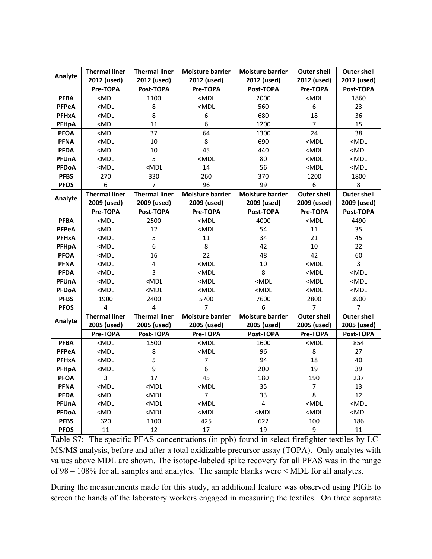| Analyte      | <b>Thermal liner</b>    | <b>Thermal liner</b>    | <b>Moisture barrier</b> | <b>Moisture barrier</b> | <b>Outer shell</b> | <b>Outer shell</b> |
|--------------|-------------------------|-------------------------|-------------------------|-------------------------|--------------------|--------------------|
|              | 2012 (used)             | 2012 (used)             | 2012 (used)             | 2012 (used)             | 2012 (used)        | 2012 (used)        |
|              | Pre-TOPA                | Post-TOPA               | Pre-TOPA                | Post-TOPA               | Pre-TOPA           | Post-TOPA          |
| <b>PFBA</b>  | $MDL$                   | 1100                    | $MDL$                   | 2000                    | $MDL$              | 1860               |
| <b>PFPeA</b> | $MDL$                   | 8                       | $MDL$                   | 560                     | 6                  | 23                 |
| <b>PFHxA</b> | $MDL$                   | 8                       | 6                       | 680                     | 18                 | 36                 |
| PFHpA        | $<$ MDL                 | 11                      | 6                       | 1200                    | $\overline{7}$     | 15                 |
| <b>PFOA</b>  | $MDL$                   | 37                      | 64                      | 1300                    | $\overline{24}$    | 38                 |
| <b>PFNA</b>  | $MDL$                   | 10                      | 8                       | 690                     | $MDL$              | $MDL$              |
| <b>PFDA</b>  | $<$ MDL                 | 10                      | 45                      | 440                     | $MDL$              | $MDL$              |
| PFUnA        | $MDL$                   | 5                       | $MDL$                   | 80                      | $MDL$              | $MDL$              |
| <b>PFDoA</b> | $<$ MDL                 | $MDL$                   | 14                      | 56                      | $MDL$              | $MDL$              |
| <b>PFBS</b>  | 270                     | 330                     | 260                     | 370                     | 1200               | 1800               |
| <b>PFOS</b>  | 6                       | 7                       | 96                      | 99                      | 6                  | 8                  |
| Analyte      | <b>Thermal liner</b>    | <b>Thermal liner</b>    | <b>Moisture barrier</b> | <b>Moisture barrier</b> | <b>Outer shell</b> | <b>Outer shell</b> |
|              | 2009 (used)             | 2009 (used)             | 2009 (used)             | 2009 (used)             | 2009 (used)        | 2009 (used)        |
|              | Pre-TOPA                | Post-TOPA               | Pre-TOPA                | Post-TOPA               | Pre-TOPA           | Post-TOPA          |
| <b>PFBA</b>  | $MDL$                   | 2500                    | $<$ MDL                 | 4000                    | $MDL$              | 4490               |
| <b>PFPeA</b> | $MDL$                   | 12                      | $MDL$                   | 54                      | $11\,$             | 35                 |
| <b>PFHxA</b> | $MDL$                   | 5                       | 11                      | 34                      | 21                 | 45                 |
| <b>PFHpA</b> | $<$ MDL                 | 6                       | $\bf 8$                 | 42                      | 10                 | 22                 |
| <b>PFOA</b>  | $MDL$                   | 16                      | 22                      | 48                      | 42                 | 60                 |
| <b>PFNA</b>  | $MDL$                   | $\overline{\mathbf{4}}$ | $MDL$                   | 10                      | $MDL$              | 3                  |
| <b>PFDA</b>  | $MDL$                   | 3                       | $MDL$                   | 8                       | $MDL$              | $MDL$              |
| PFUnA        | $<$ MDL                 | $MDL$                   | $<$ MDL                 | $<$ MDL                 | $<$ MDL            | $<$ MDL            |
| PFDoA        | $MDL$                   | $MDL$                   | $MDL$                   | $MDL$                   | $MDL$              | $MDL$              |
| <b>PFBS</b>  | 1900                    | 2400                    | 5700                    | 7600                    | 2800               | 3900               |
| <b>PFOS</b>  | $\overline{\mathbf{4}}$ | 4                       | 7                       | 6                       | $\boldsymbol{7}$   | $\boldsymbol{7}$   |
| Analyte      | <b>Thermal liner</b>    | <b>Thermal liner</b>    | <b>Moisture barrier</b> | <b>Moisture barrier</b> | <b>Outer shell</b> | <b>Outer shell</b> |
|              | 2005 (used)             | 2005 (used)             | 2005 (used)             | 2005 (used)             | 2005 (used)        | 2005 (used)        |
|              | Pre-TOPA                | Post-TOPA               | Pre-TOPA                | Post-TOPA               | Pre-TOPA           | Post-TOPA          |
| <b>PFBA</b>  | $MDL$                   | 1500                    | $<$ MDL                 | 1600                    | $<$ MDL            | 854                |
| <b>PFPeA</b> | $MDL$                   | 8                       | $MDL$                   | 96                      | 8                  | 27                 |
| <b>PFHxA</b> | $MDL$                   | 5                       | $\overline{7}$          | 94                      | 18                 | 40                 |
| PFHpA        | $MDL$                   | 9                       | 6                       | 200                     | 19                 | 39                 |
| <b>PFOA</b>  | 3                       | 17                      | 45                      | 180                     | 190                | 237                |
| <b>PFNA</b>  | $MDL$                   | $MDL$                   | $MDL$                   | 35                      | 7                  | 13                 |
| <b>PFDA</b>  | $MDL$                   | $MDL$                   | $\overline{7}$          | 33                      | 8                  | 12                 |
| PFUnA        | $MDL$                   | $MDL$                   | $MDL$                   | $\overline{\mathbf{4}}$ | $MDL$              | $MDL$              |
| <b>PFDoA</b> | $MDL$                   | $MDL$                   | $MDL$                   | $MDL$                   | $MDL$              | $MDL$              |
| <b>PFBS</b>  | 620                     | 1100                    | 425                     | 622                     | 100                | 186                |
| <b>PFOS</b>  | 11                      | 12                      | 17                      | 19                      | 9                  | 11                 |

Table S7: The specific PFAS concentrations (in ppb) found in select firefighter textiles by LC-MS/MS analysis, before and after a total oxidizable precursor assay (TOPA). Only analytes with values above MDL are shown. The isotope-labeled spike recovery for all PFAS was in the range of 98 – 108% for all samples and analytes. The sample blanks were < MDL for all analytes.

During the measurements made for this study, an additional feature was observed using PIGE to screen the hands of the laboratory workers engaged in measuring the textiles. On three separate